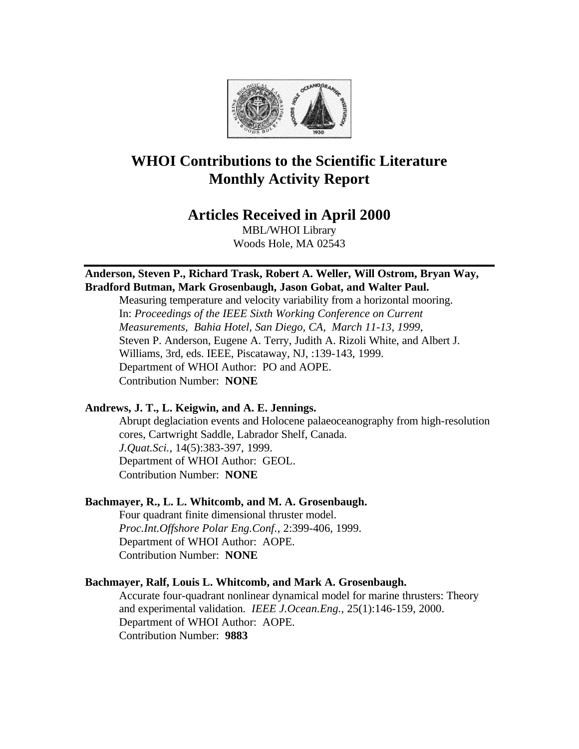

# **WHOI Contributions to the Scientific Literature Monthly Activity Report**

# **Articles Received in April 2000**

MBL/WHOI Library Woods Hole, MA 02543

# **Anderson, Steven P., Richard Trask, Robert A. Weller, Will Ostrom, Bryan Way, Bradford Butman, Mark Grosenbaugh, Jason Gobat, and Walter Paul.**

Measuring temperature and velocity variability from a horizontal mooring. In: *Proceedings of the IEEE Sixth Working Conference on Current Measurements, Bahia Hotel, San Diego, CA, March 11-13, 1999*, Steven P. Anderson, Eugene A. Terry, Judith A. Rizoli White, and Albert J. Williams, 3rd, eds. IEEE, Piscataway, NJ, :139-143, 1999. Department of WHOI Author: PO and AOPE. Contribution Number: **NONE**

# **Andrews, J. T., L. Keigwin, and A. E. Jennings.**

Abrupt deglaciation events and Holocene palaeoceanography from high-resolution cores, Cartwright Saddle, Labrador Shelf, Canada. *J.Quat.Sci.*, 14(5):383-397, 1999. Department of WHOI Author: GEOL. Contribution Number: **NONE**

# **Bachmayer, R., L. L. Whitcomb, and M. A. Grosenbaugh.**

Four quadrant finite dimensional thruster model. *Proc.Int.Offshore Polar Eng.Conf.*, 2:399-406, 1999. Department of WHOI Author: AOPE. Contribution Number: **NONE**

# **Bachmayer, Ralf, Louis L. Whitcomb, and Mark A. Grosenbaugh.**

Accurate four-quadrant nonlinear dynamical model for marine thrusters: Theory and experimental validation. *IEEE J.Ocean.Eng.*, 25(1):146-159, 2000. Department of WHOI Author: AOPE. Contribution Number: **9883**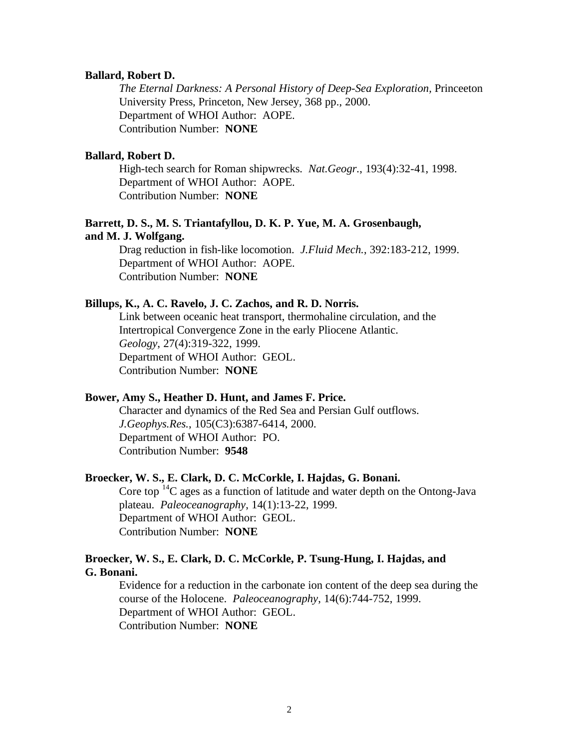#### **Ballard, Robert D.**

*The Eternal Darkness: A Personal History of Deep-Sea Exploration,* Princeeton University Press, Princeton, New Jersey, 368 pp., 2000. Department of WHOI Author: AOPE. Contribution Number: **NONE**

# **Ballard, Robert D.**

High-tech search for Roman shipwrecks. *Nat.Geogr.*, 193(4):32-41, 1998. Department of WHOI Author: AOPE. Contribution Number: **NONE**

### **Barrett, D. S., M. S. Triantafyllou, D. K. P. Yue, M. A. Grosenbaugh, and M. J. Wolfgang.**

Drag reduction in fish-like locomotion. *J.Fluid Mech.*, 392:183-212, 1999. Department of WHOI Author: AOPE. Contribution Number: **NONE**

### **Billups, K., A. C. Ravelo, J. C. Zachos, and R. D. Norris.**

Link between oceanic heat transport, thermohaline circulation, and the Intertropical Convergence Zone in the early Pliocene Atlantic. *Geology*, 27(4):319-322, 1999. Department of WHOI Author: GEOL. Contribution Number: **NONE**

### **Bower, Amy S., Heather D. Hunt, and James F. Price.**

Character and dynamics of the Red Sea and Persian Gulf outflows. *J.Geophys.Res.*, 105(C3):6387-6414, 2000. Department of WHOI Author: PO. Contribution Number: **9548**

#### **Broecker, W. S., E. Clark, D. C. McCorkle, I. Hajdas, G. Bonani.**

Core top  $^{14}$ C ages as a function of latitude and water depth on the Ontong-Java plateau. *Paleoceanography*, 14(1):13-22, 1999. Department of WHOI Author: GEOL. Contribution Number: **NONE**

# **Broecker, W. S., E. Clark, D. C. McCorkle, P. Tsung-Hung, I. Hajdas, and G. Bonani.**

Evidence for a reduction in the carbonate ion content of the deep sea during the course of the Holocene. *Paleoceanography*, 14(6):744-752, 1999. Department of WHOI Author: GEOL. Contribution Number: **NONE**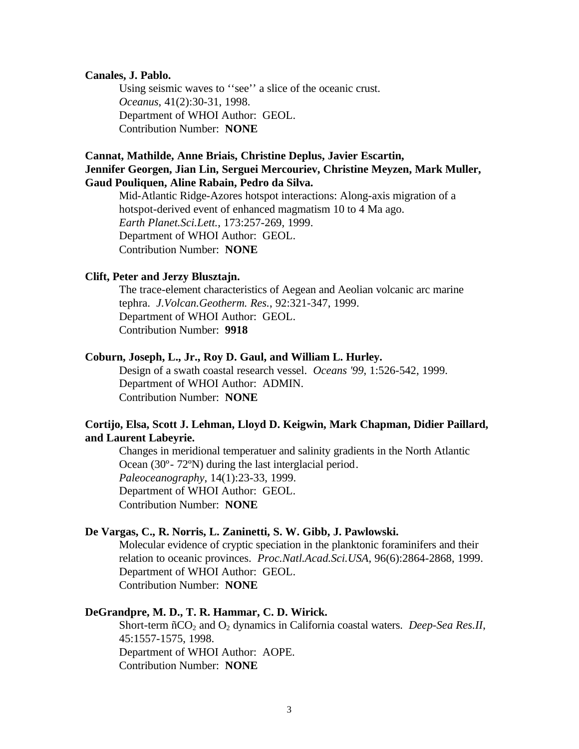### **Canales, J. Pablo.**

Using seismic waves to ''see'' a slice of the oceanic crust. *Oceanus*, 41(2):30-31, 1998. Department of WHOI Author: GEOL. Contribution Number: **NONE**

# **Cannat, Mathilde, Anne Briais, Christine Deplus, Javier Escartin, Jennifer Georgen, Jian Lin, Serguei Mercouriev, Christine Meyzen, Mark Muller, Gaud Pouliquen, Aline Rabain, Pedro da Silva.**

Mid-Atlantic Ridge-Azores hotspot interactions: Along-axis migration of a hotspot-derived event of enhanced magmatism 10 to 4 Ma ago. *Earth Planet.Sci.Lett.*, 173:257-269, 1999. Department of WHOI Author: GEOL. Contribution Number: **NONE**

#### **Clift, Peter and Jerzy Blusztajn.**

The trace-element characteristics of Aegean and Aeolian volcanic arc marine tephra. *J.Volcan.Geotherm. Res.*, 92:321-347, 1999. Department of WHOI Author: GEOL. Contribution Number: **9918**

#### **Coburn, Joseph, L., Jr., Roy D. Gaul, and William L. Hurley.**

Design of a swath coastal research vessel. *Oceans '99*, 1:526-542, 1999. Department of WHOI Author: ADMIN. Contribution Number: **NONE**

# **Cortijo, Elsa, Scott J. Lehman, Lloyd D. Keigwin, Mark Chapman, Didier Paillard, and Laurent Labeyrie.**

Changes in meridional temperatuer and salinity gradients in the North Atlantic Ocean (30º- 72ºN) during the last interglacial period. *Paleoceanography*, 14(1):23-33, 1999. Department of WHOI Author: GEOL. Contribution Number: **NONE**

#### **De Vargas, C., R. Norris, L. Zaninetti, S. W. Gibb, J. Pawlowski.**

Molecular evidence of cryptic speciation in the planktonic foraminifers and their relation to oceanic provinces. *Proc.Natl.Acad.Sci.USA*, 96(6):2864-2868, 1999. Department of WHOI Author: GEOL. Contribution Number: **NONE**

#### **DeGrandpre, M. D., T. R. Hammar, C. D. Wirick.**

Short-term ñCO<sub>2</sub> and O<sub>2</sub> dynamics in California coastal waters. *Deep-Sea Res.II*, 45:1557-1575, 1998. Department of WHOI Author: AOPE. Contribution Number: **NONE**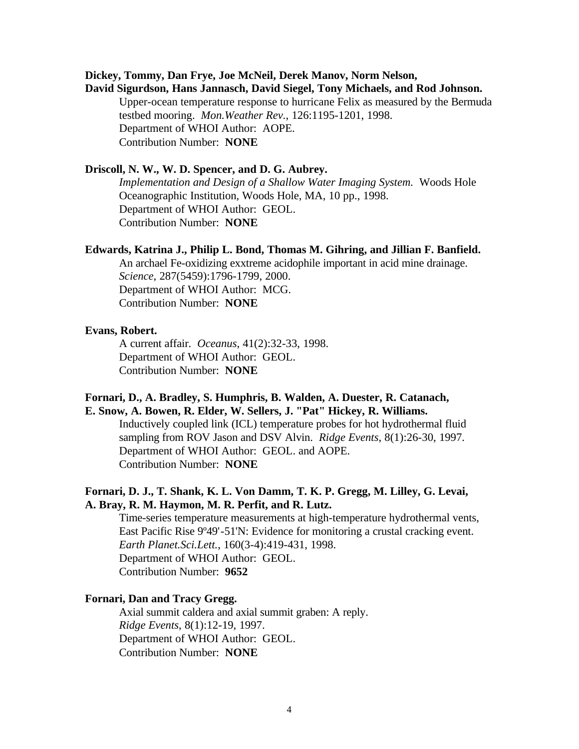### **Dickey, Tommy, Dan Frye, Joe McNeil, Derek Manov, Norm Nelson,**

**David Sigurdson, Hans Jannasch, David Siegel, Tony Michaels, and Rod Johnson.** Upper-ocean temperature response to hurricane Felix as measured by the Bermuda testbed mooring. *Mon.Weather Rev.*, 126:1195-1201, 1998. Department of WHOI Author: AOPE. Contribution Number: **NONE**

### **Driscoll, N. W., W. D. Spencer, and D. G. Aubrey.**

*Implementation and Design of a Shallow Water Imaging System.* Woods Hole Oceanographic Institution, Woods Hole, MA, 10 pp., 1998. Department of WHOI Author: GEOL. Contribution Number: **NONE**

#### **Edwards, Katrina J., Philip L. Bond, Thomas M. Gihring, and Jillian F. Banfield.**

An archael Fe-oxidizing exxtreme acidophile important in acid mine drainage. *Science*, 287(5459):1796-1799, 2000. Department of WHOI Author: MCG. Contribution Number: **NONE**

#### **Evans, Robert.**

A current affair. *Oceanus*, 41(2):32-33, 1998. Department of WHOI Author: GEOL. Contribution Number: **NONE**

### **Fornari, D., A. Bradley, S. Humphris, B. Walden, A. Duester, R. Catanach, E. Snow, A. Bowen, R. Elder, W. Sellers, J. "Pat" Hickey, R. Williams.**

Inductively coupled link (ICL) temperature probes for hot hydrothermal fluid sampling from ROV Jason and DSV Alvin. *Ridge Events*, 8(1):26-30, 1997. Department of WHOI Author: GEOL. and AOPE. Contribution Number: **NONE**

# **Fornari, D. J., T. Shank, K. L. Von Damm, T. K. P. Gregg, M. Lilley, G. Levai, A. Bray, R. M. Haymon, M. R. Perfit, and R. Lutz.**

Time-series temperature measurements at high-temperature hydrothermal vents, East Pacific Rise 9º49'-51'N: Evidence for monitoring a crustal cracking event. *Earth Planet.Sci.Lett.*, 160(3-4):419-431, 1998. Department of WHOI Author: GEOL. Contribution Number: **9652**

# **Fornari, Dan and Tracy Gregg.**

Axial summit caldera and axial summit graben: A reply. *Ridge Events*, 8(1):12-19, 1997. Department of WHOI Author: GEOL. Contribution Number: **NONE**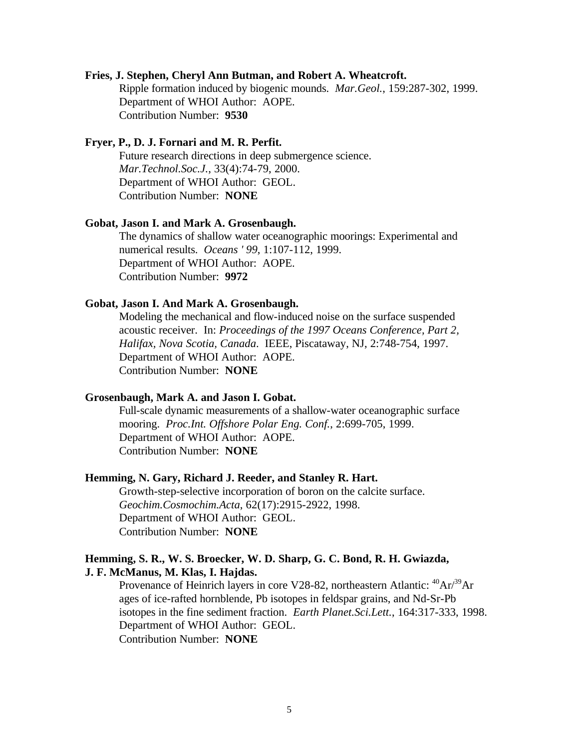# **Fries, J. Stephen, Cheryl Ann Butman, and Robert A. Wheatcroft.**

Ripple formation induced by biogenic mounds. *Mar.Geol.*, 159:287-302, 1999. Department of WHOI Author: AOPE. Contribution Number: **9530**

### **Fryer, P., D. J. Fornari and M. R. Perfit.**

Future research directions in deep submergence science. *Mar.Technol.Soc.J.*, 33(4):74-79, 2000. Department of WHOI Author: GEOL. Contribution Number: **NONE**

#### **Gobat, Jason I. and Mark A. Grosenbaugh.**

The dynamics of shallow water oceanographic moorings: Experimental and numerical results. *Oceans ' 99*, 1:107-112, 1999. Department of WHOI Author: AOPE. Contribution Number: **9972**

### **Gobat, Jason I. And Mark A. Grosenbaugh.**

Modeling the mechanical and flow-induced noise on the surface suspended acoustic receiver. In: *Proceedings of the 1997 Oceans Conference, Part 2, Halifax, Nova Scotia, Canada*. IEEE, Piscataway, NJ, 2:748-754, 1997. Department of WHOI Author: AOPE. Contribution Number: **NONE**

#### **Grosenbaugh, Mark A. and Jason I. Gobat.**

Full-scale dynamic measurements of a shallow-water oceanographic surface mooring. *Proc.Int. Offshore Polar Eng. Conf.*, 2:699-705, 1999. Department of WHOI Author: AOPE. Contribution Number: **NONE**

#### **Hemming, N. Gary, Richard J. Reeder, and Stanley R. Hart.**

Growth-step-selective incorporation of boron on the calcite surface. *Geochim.Cosmochim.Acta*, 62(17):2915-2922, 1998. Department of WHOI Author: GEOL. Contribution Number: **NONE**

### **Hemming, S. R., W. S. Broecker, W. D. Sharp, G. C. Bond, R. H. Gwiazda, J. F. McManus, M. Klas, I. Hajdas.**

Provenance of Heinrich layers in core V28-82, northeastern Atlantic:  $^{40}Ar^{39}Ar$ ages of ice-rafted hornblende, Pb isotopes in feldspar grains, and Nd-Sr-Pb isotopes in the fine sediment fraction. *Earth Planet.Sci.Lett.*, 164:317-333, 1998. Department of WHOI Author: GEOL. Contribution Number: **NONE**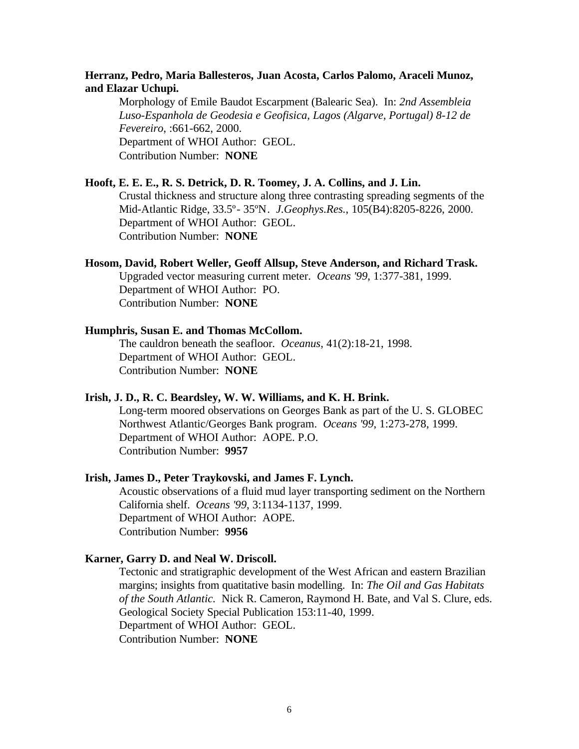# **Herranz, Pedro, Maria Ballesteros, Juan Acosta, Carlos Palomo, Araceli Munoz, and Elazar Uchupi.**

Morphology of Emile Baudot Escarpment (Balearic Sea). In: *2nd Assembleia Luso-Espanhola de Geodesia e Geofisica, Lagos (Algarve, Portugal) 8-12 de Fevereiro*, :661-662, 2000. Department of WHOI Author: GEOL. Contribution Number: **NONE**

# **Hooft, E. E. E., R. S. Detrick, D. R. Toomey, J. A. Collins, and J. Lin.**

Crustal thickness and structure along three contrasting spreading segments of the Mid-Atlantic Ridge, 33.5º- 35ºN. *J.Geophys.Res.*, 105(B4):8205-8226, 2000. Department of WHOI Author: GEOL. Contribution Number: **NONE**

### **Hosom, David, Robert Weller, Geoff Allsup, Steve Anderson, and Richard Trask.**

Upgraded vector measuring current meter. *Oceans '99*, 1:377-381, 1999. Department of WHOI Author: PO. Contribution Number: **NONE**

#### **Humphris, Susan E. and Thomas McCollom.**

The cauldron beneath the seafloor. *Oceanus*, 41(2):18-21, 1998. Department of WHOI Author: GEOL. Contribution Number: **NONE**

#### **Irish, J. D., R. C. Beardsley, W. W. Williams, and K. H. Brink.**

Long-term moored observations on Georges Bank as part of the U. S. GLOBEC Northwest Atlantic/Georges Bank program. *Oceans '99*, 1:273-278, 1999. Department of WHOI Author: AOPE. P.O. Contribution Number: **9957**

### **Irish, James D., Peter Traykovski, and James F. Lynch.**

Acoustic observations of a fluid mud layer transporting sediment on the Northern California shelf. *Oceans '99*, 3:1134-1137, 1999. Department of WHOI Author: AOPE. Contribution Number: **9956**

#### **Karner, Garry D. and Neal W. Driscoll.**

Tectonic and stratigraphic development of the West African and eastern Brazilian margins; insights from quatitative basin modelling. In: *The Oil and Gas Habitats of the South Atlantic.* Nick R. Cameron, Raymond H. Bate, and Val S. Clure, eds. Geological Society Special Publication 153:11-40, 1999. Department of WHOI Author: GEOL. Contribution Number: **NONE**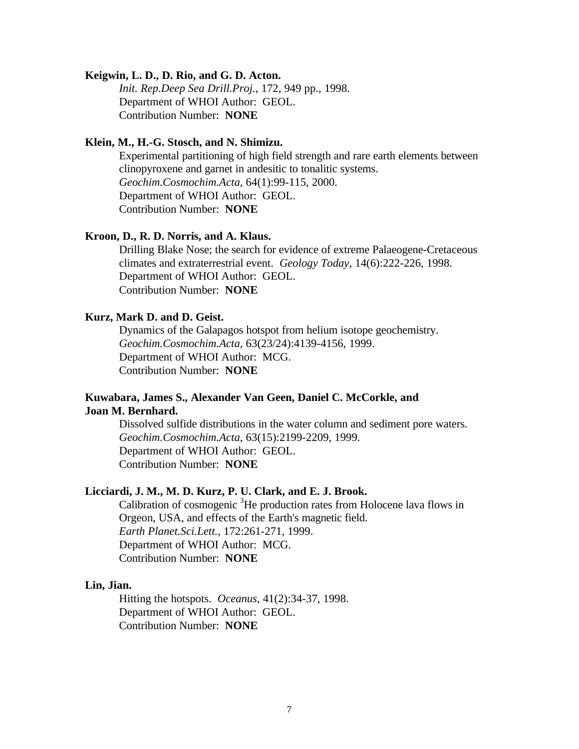#### **Keigwin, L. D., D. Rio, and G. D. Acton.**

*Init. Rep.Deep Sea Drill.Proj.*, 172, 949 pp., 1998. Department of WHOI Author: GEOL. Contribution Number: **NONE**

### **Klein, M., H.-G. Stosch, and N. Shimizu.**

Experimental partitioning of high field strength and rare earth elements between clinopyroxene and garnet in andesitic to tonalitic systems. *Geochim.Cosmochim.Acta*, 64(1):99-115, 2000. Department of WHOI Author: GEOL. Contribution Number: **NONE**

#### **Kroon, D., R. D. Norris, and A. Klaus.**

Drilling Blake Nose; the search for evidence of extreme Palaeogene-Cretaceous climates and extraterrestrial event. *Geology Today*, 14(6):222-226, 1998. Department of WHOI Author: GEOL. Contribution Number: **NONE**

### **Kurz, Mark D. and D. Geist.**

Dynamics of the Galapagos hotspot from helium isotope geochemistry. *Geochim.Cosmochim.Acta*, 63(23/24):4139-4156, 1999. Department of WHOI Author: MCG. Contribution Number: **NONE**

# **Kuwabara, James S., Alexander Van Geen, Daniel C. McCorkle, and Joan M. Bernhard.**

Dissolved sulfide distributions in the water column and sediment pore waters. *Geochim.Cosmochim.Acta*, 63(15):2199-2209, 1999. Department of WHOI Author: GEOL. Contribution Number: **NONE**

#### **Licciardi, J. M., M. D. Kurz, P. U. Clark, and E. J. Brook.**

Calibration of cosmogenic <sup>3</sup>He production rates from Holocene lava flows in Orgeon, USA, and effects of the Earth's magnetic field. *Earth Planet.Sci.Lett.*, 172:261-271, 1999. Department of WHOI Author: MCG. Contribution Number: **NONE**

#### **Lin, Jian.**

Hitting the hotspots. *Oceanus*, 41(2):34-37, 1998. Department of WHOI Author: GEOL. Contribution Number: **NONE**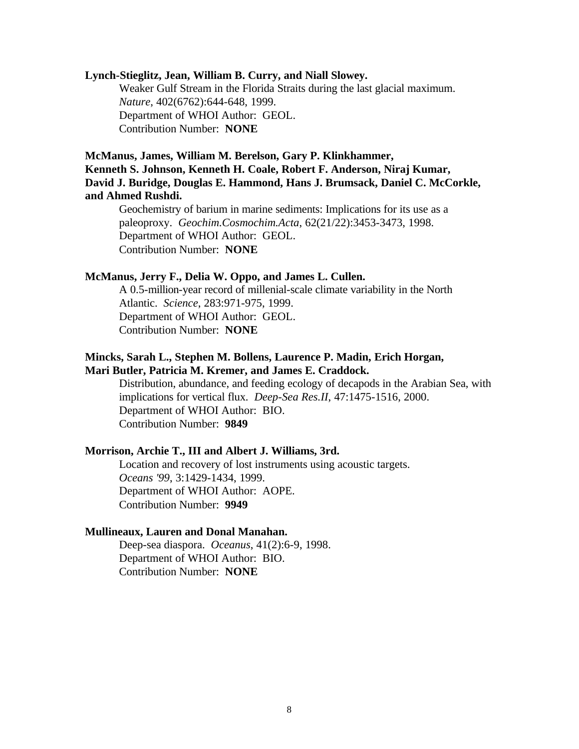#### **Lynch-Stieglitz, Jean, William B. Curry, and Niall Slowey.**

Weaker Gulf Stream in the Florida Straits during the last glacial maximum. *Nature*, 402(6762):644-648, 1999. Department of WHOI Author: GEOL. Contribution Number: **NONE**

# **McManus, James, William M. Berelson, Gary P. Klinkhammer, Kenneth S. Johnson, Kenneth H. Coale, Robert F. Anderson, Niraj Kumar, David J. Buridge, Douglas E. Hammond, Hans J. Brumsack, Daniel C. McCorkle, and Ahmed Rushdi.**

Geochemistry of barium in marine sediments: Implications for its use as a paleoproxy. *Geochim.Cosmochim.Acta*, 62(21/22):3453-3473, 1998. Department of WHOI Author: GEOL. Contribution Number: **NONE**

#### **McManus, Jerry F., Delia W. Oppo, and James L. Cullen.**

A 0.5-million-year record of millenial-scale climate variability in the North Atlantic. *Science*, 283:971-975, 1999. Department of WHOI Author: GEOL. Contribution Number: **NONE**

# **Mincks, Sarah L., Stephen M. Bollens, Laurence P. Madin, Erich Horgan, Mari Butler, Patricia M. Kremer, and James E. Craddock.**

Distribution, abundance, and feeding ecology of decapods in the Arabian Sea, with implications for vertical flux. *Deep-Sea Res.II*, 47:1475-1516, 2000. Department of WHOI Author: BIO. Contribution Number: **9849**

#### **Morrison, Archie T., III and Albert J. Williams, 3rd.**

Location and recovery of lost instruments using acoustic targets. *Oceans '99*, 3:1429-1434, 1999. Department of WHOI Author: AOPE. Contribution Number: **9949**

#### **Mullineaux, Lauren and Donal Manahan.**

Deep-sea diaspora. *Oceanus*, 41(2):6-9, 1998. Department of WHOI Author: BIO. Contribution Number: **NONE**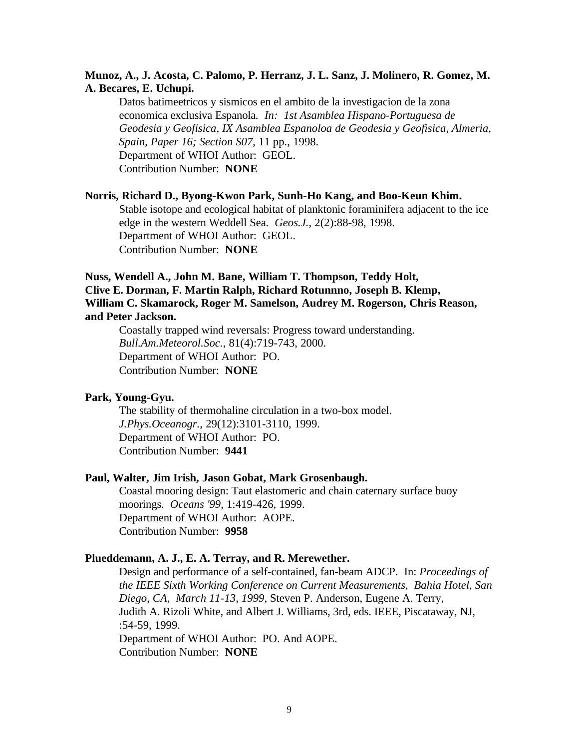# **Munoz, A., J. Acosta, C. Palomo, P. Herranz, J. L. Sanz, J. Molinero, R. Gomez, M. A. Becares, E. Uchupi.**

Datos batimeetricos y sismicos en el ambito de la investigacion de la zona economica exclusiva Espanola*. In: 1st Asamblea Hispano-Portuguesa de Geodesia y Geofisica, IX Asamblea Espanoloa de Geodesia y Geofisica, Almeria, Spain, Paper 16; Section S07*, 11 pp., 1998. Department of WHOI Author: GEOL. Contribution Number: **NONE**

#### **Norris, Richard D., Byong-Kwon Park, Sunh-Ho Kang, and Boo-Keun Khim.**

Stable isotope and ecological habitat of planktonic foraminifera adjacent to the ice edge in the western Weddell Sea. *Geos.J.*, 2(2):88-98, 1998. Department of WHOI Author: GEOL. Contribution Number: **NONE**

# **Nuss, Wendell A., John M. Bane, William T. Thompson, Teddy Holt, Clive E. Dorman, F. Martin Ralph, Richard Rotunnno, Joseph B. Klemp, William C. Skamarock, Roger M. Samelson, Audrey M. Rogerson, Chris Reason, and Peter Jackson.**

Coastally trapped wind reversals: Progress toward understanding. *Bull.Am.Meteorol.Soc.*, 81(4):719-743, 2000. Department of WHOI Author: PO. Contribution Number: **NONE**

#### **Park, Young-Gyu.**

The stability of thermohaline circulation in a two-box model. *J.Phys.Oceanogr.*, 29(12):3101-3110, 1999. Department of WHOI Author: PO. Contribution Number: **9441**

#### **Paul, Walter, Jim Irish, Jason Gobat, Mark Grosenbaugh.**

Coastal mooring design: Taut elastomeric and chain caternary surface buoy moorings. *Oceans '99*, 1:419-426, 1999. Department of WHOI Author: AOPE. Contribution Number: **9958**

# **Plueddemann, A. J., E. A. Terray, and R. Merewether.**

Design and performance of a self-contained, fan-beam ADCP. In: *Proceedings of the IEEE Sixth Working Conference on Current Measurements, Bahia Hotel, San Diego, CA, March 11-13, 1999*, Steven P. Anderson, Eugene A. Terry, Judith A. Rizoli White, and Albert J. Williams, 3rd, eds. IEEE, Piscataway, NJ, :54-59, 1999. Department of WHOI Author: PO. And AOPE.

Contribution Number: **NONE**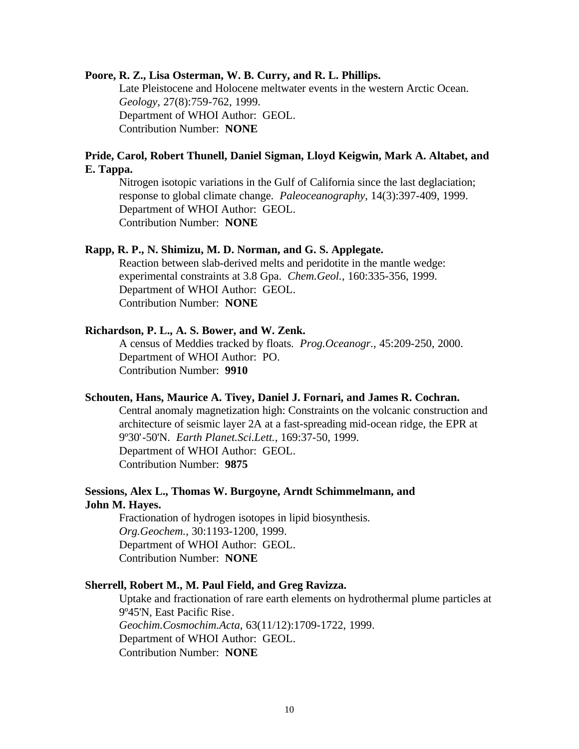#### **Poore, R. Z., Lisa Osterman, W. B. Curry, and R. L. Phillips.**

Late Pleistocene and Holocene meltwater events in the western Arctic Ocean. *Geology*, 27(8):759-762, 1999. Department of WHOI Author: GEOL. Contribution Number: **NONE**

# **Pride, Carol, Robert Thunell, Daniel Sigman, Lloyd Keigwin, Mark A. Altabet, and E. Tappa.**

Nitrogen isotopic variations in the Gulf of California since the last deglaciation; response to global climate change. *Paleoceanography*, 14(3):397-409, 1999. Department of WHOI Author: GEOL. Contribution Number: **NONE**

### **Rapp, R. P., N. Shimizu, M. D. Norman, and G. S. Applegate.**

Reaction between slab-derived melts and peridotite in the mantle wedge: experimental constraints at 3.8 Gpa. *Chem.Geol.*, 160:335-356, 1999. Department of WHOI Author: GEOL. Contribution Number: **NONE**

### **Richardson, P. L., A. S. Bower, and W. Zenk.**

A census of Meddies tracked by floats. *Prog.Oceanogr.*, 45:209-250, 2000. Department of WHOI Author: PO. Contribution Number: **9910**

#### **Schouten, Hans, Maurice A. Tivey, Daniel J. Fornari, and James R. Cochran.**

Central anomaly magnetization high: Constraints on the volcanic construction and architecture of seismic layer 2A at a fast-spreading mid-ocean ridge, the EPR at 9º30'-50'N. *Earth Planet.Sci.Lett.*, 169:37-50, 1999. Department of WHOI Author: GEOL. Contribution Number: **9875**

# **Sessions, Alex L., Thomas W. Burgoyne, Arndt Schimmelmann, and John M. Hayes.**

Fractionation of hydrogen isotopes in lipid biosynthesis. *Org.Geochem.*, 30:1193-1200, 1999. Department of WHOI Author: GEOL. Contribution Number: **NONE**

### **Sherrell, Robert M., M. Paul Field, and Greg Ravizza.**

Uptake and fractionation of rare earth elements on hydrothermal plume particles at 9º45'N, East Pacific Rise. *Geochim.Cosmochim.Acta*, 63(11/12):1709-1722, 1999. Department of WHOI Author: GEOL. Contribution Number: **NONE**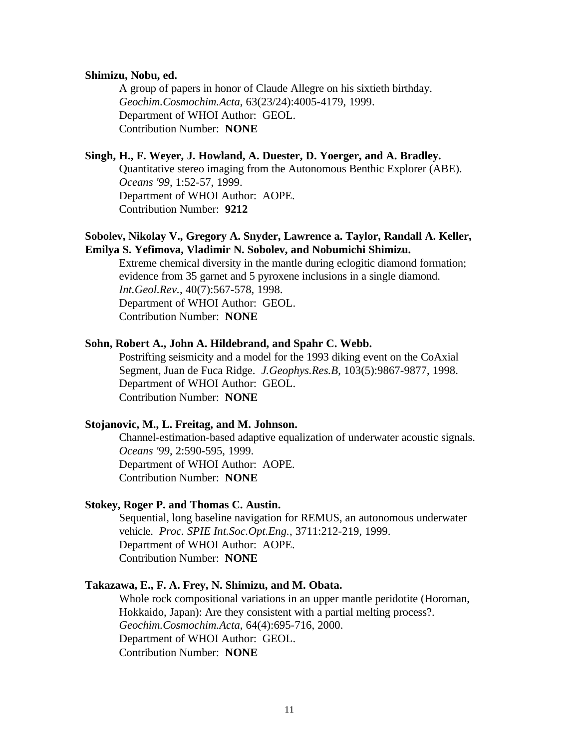#### **Shimizu, Nobu, ed.**

A group of papers in honor of Claude Allegre on his sixtieth birthday. *Geochim.Cosmochim.Acta*, 63(23/24):4005-4179, 1999. Department of WHOI Author: GEOL. Contribution Number: **NONE**

### **Singh, H., F. Weyer, J. Howland, A. Duester, D. Yoerger, and A. Bradley.**

Quantitative stereo imaging from the Autonomous Benthic Explorer (ABE). *Oceans '99*, 1:52-57, 1999. Department of WHOI Author: AOPE. Contribution Number: **9212**

# **Sobolev, Nikolay V., Gregory A. Snyder, Lawrence a. Taylor, Randall A. Keller, Emilya S. Yefimova, Vladimir N. Sobolev, and Nobumichi Shimizu.**

Extreme chemical diversity in the mantle during eclogitic diamond formation; evidence from 35 garnet and 5 pyroxene inclusions in a single diamond. *Int.Geol.Rev.*, 40(7):567-578, 1998. Department of WHOI Author: GEOL. Contribution Number: **NONE**

### **Sohn, Robert A., John A. Hildebrand, and Spahr C. Webb.**

Postrifting seismicity and a model for the 1993 diking event on the CoAxial Segment, Juan de Fuca Ridge. *J.Geophys.Res.B*, 103(5):9867-9877, 1998. Department of WHOI Author: GEOL. Contribution Number: **NONE**

#### **Stojanovic, M., L. Freitag, and M. Johnson.**

Channel-estimation-based adaptive equalization of underwater acoustic signals. *Oceans '99*, 2:590-595, 1999. Department of WHOI Author: AOPE. Contribution Number: **NONE**

#### **Stokey, Roger P. and Thomas C. Austin.**

Sequential, long baseline navigation for REMUS, an autonomous underwater vehicle. *Proc. SPIE Int.Soc.Opt.Eng.*, 3711:212-219, 1999. Department of WHOI Author: AOPE. Contribution Number: **NONE**

#### **Takazawa, E., F. A. Frey, N. Shimizu, and M. Obata.**

Whole rock compositional variations in an upper mantle peridotite (Horoman, Hokkaido, Japan): Are they consistent with a partial melting process?. *Geochim.Cosmochim.Acta*, 64(4):695-716, 2000. Department of WHOI Author: GEOL. Contribution Number: **NONE**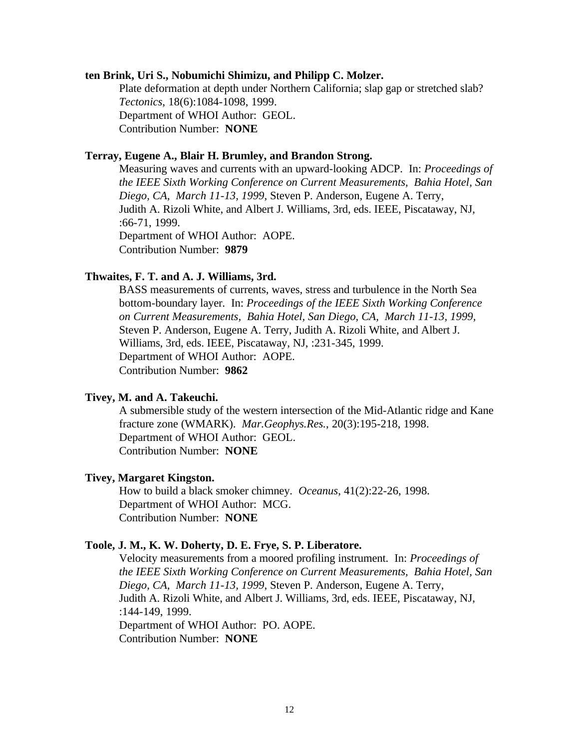## **ten Brink, Uri S., Nobumichi Shimizu, and Philipp C. Molzer.**

Plate deformation at depth under Northern California; slap gap or stretched slab? *Tectonics*, 18(6):1084-1098, 1999. Department of WHOI Author: GEOL. Contribution Number: **NONE**

# **Terray, Eugene A., Blair H. Brumley, and Brandon Strong.**

Measuring waves and currents with an upward-looking ADCP. In: *Proceedings of the IEEE Sixth Working Conference on Current Measurements, Bahia Hotel, San Diego, CA, March 11-13, 1999*, Steven P. Anderson, Eugene A. Terry, Judith A. Rizoli White, and Albert J. Williams, 3rd, eds. IEEE, Piscataway, NJ, :66-71, 1999. Department of WHOI Author: AOPE. Contribution Number: **9879**

# **Thwaites, F. T. and A. J. Williams, 3rd.**

BASS measurements of currents, waves, stress and turbulence in the North Sea bottom-boundary layer. In: *Proceedings of the IEEE Sixth Working Conference on Current Measurements, Bahia Hotel, San Diego, CA, March 11-13, 1999,*  Steven P. Anderson, Eugene A. Terry, Judith A. Rizoli White, and Albert J. Williams, 3rd, eds. IEEE, Piscataway, NJ, :231-345, 1999. Department of WHOI Author: AOPE. Contribution Number: **9862**

#### **Tivey, M. and A. Takeuchi.**

A submersible study of the western intersection of the Mid-Atlantic ridge and Kane fracture zone (WMARK). *Mar.Geophys.Res.*, 20(3):195-218, 1998. Department of WHOI Author: GEOL. Contribution Number: **NONE**

#### **Tivey, Margaret Kingston.**

How to build a black smoker chimney. *Oceanus*, 41(2):22-26, 1998. Department of WHOI Author: MCG. Contribution Number: **NONE**

#### **Toole, J. M., K. W. Doherty, D. E. Frye, S. P. Liberatore.**

Velocity measurements from a moored profiling instrument. In: *Proceedings of the IEEE Sixth Working Conference on Current Measurements, Bahia Hotel, San Diego, CA, March 11-13, 1999*, Steven P. Anderson, Eugene A. Terry, Judith A. Rizoli White, and Albert J. Williams, 3rd, eds. IEEE, Piscataway, NJ, :144-149, 1999. Department of WHOI Author: PO. AOPE. Contribution Number: **NONE**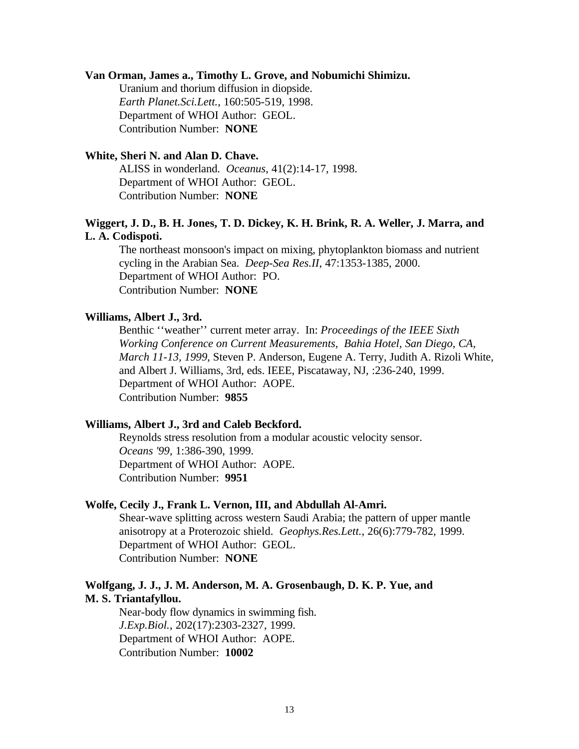# **Van Orman, James a., Timothy L. Grove, and Nobumichi Shimizu.**

Uranium and thorium diffusion in diopside. *Earth Planet.Sci.Lett.*, 160:505-519, 1998. Department of WHOI Author: GEOL. Contribution Number: **NONE**

# **White, Sheri N. and Alan D. Chave.**

ALISS in wonderland. *Oceanus*, 41(2):14-17, 1998. Department of WHOI Author: GEOL. Contribution Number: **NONE**

# **Wiggert, J. D., B. H. Jones, T. D. Dickey, K. H. Brink, R. A. Weller, J. Marra, and L. A. Codispoti.**

The northeast monsoon's impact on mixing, phytoplankton biomass and nutrient cycling in the Arabian Sea. *Deep-Sea Res.II*, 47:1353-1385, 2000. Department of WHOI Author: PO. Contribution Number: **NONE**

# **Williams, Albert J., 3rd.**

Benthic ''weather'' current meter array. In: *Proceedings of the IEEE Sixth Working Conference on Current Measurements, Bahia Hotel, San Diego, CA, March 11-13, 1999*, Steven P. Anderson, Eugene A. Terry, Judith A. Rizoli White, and Albert J. Williams, 3rd, eds. IEEE, Piscataway, NJ, :236-240, 1999. Department of WHOI Author: AOPE. Contribution Number: **9855**

#### **Williams, Albert J., 3rd and Caleb Beckford.**

Reynolds stress resolution from a modular acoustic velocity sensor. *Oceans '99*, 1:386-390, 1999. Department of WHOI Author: AOPE. Contribution Number: **9951**

# **Wolfe, Cecily J., Frank L. Vernon, III, and Abdullah Al-Amri.**

Shear-wave splitting across western Saudi Arabia; the pattern of upper mantle anisotropy at a Proterozoic shield. *Geophys.Res.Lett.*, 26(6):779-782, 1999. Department of WHOI Author: GEOL. Contribution Number: **NONE**

# **Wolfgang, J. J., J. M. Anderson, M. A. Grosenbaugh, D. K. P. Yue, and M. S. Triantafyllou.**

Near-body flow dynamics in swimming fish. *J.Exp.Biol.*, 202(17):2303-2327, 1999. Department of WHOI Author: AOPE. Contribution Number: **10002**